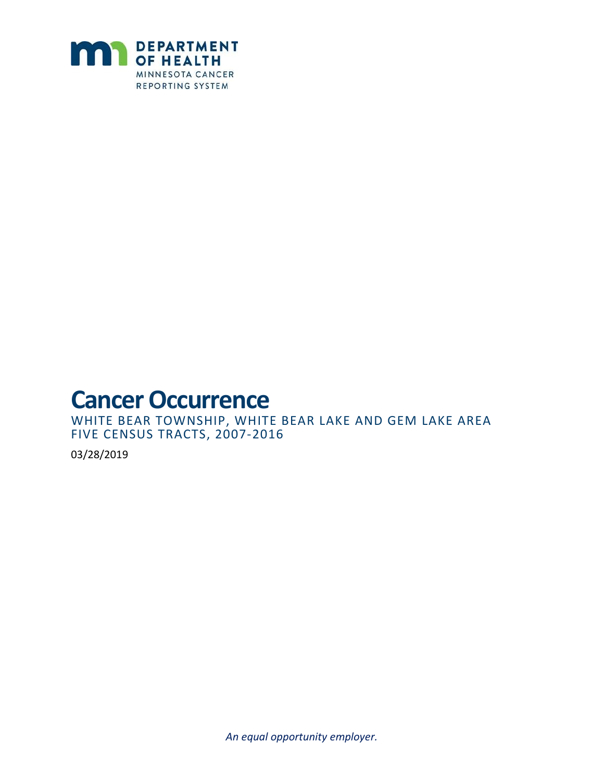

**Cancer Occurrence WHITE BEAR LAKE AND GEM LAKE AREA** WHITE BEAR TOWNSHIP, WHITE BEAR LAKE AND GEM LAKE AREA FIVE CENSUS TRACTS, 2007-2016

03/28/2019

*An equal opportunity employer.*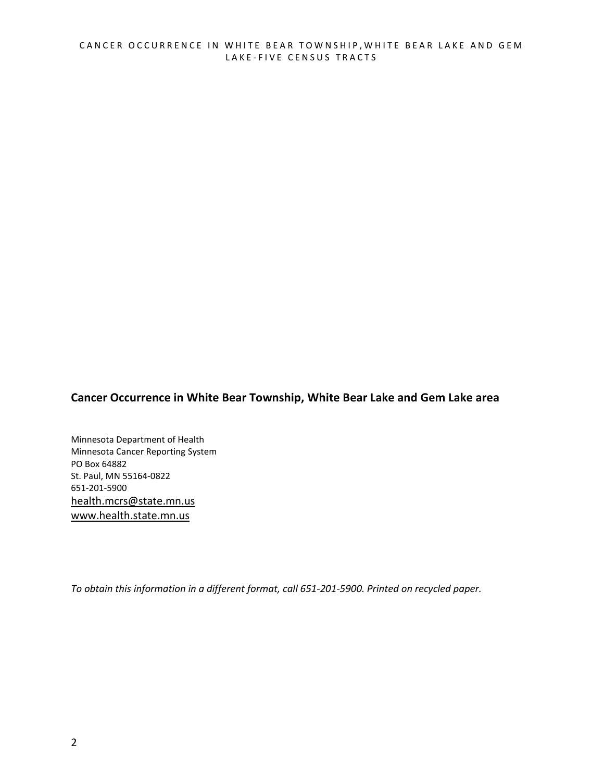#### **Cancer Occurrence in White Bear Township, White Bear Lake and Gem Lake area**

Minnesota Department of Health Minnesota Cancer Reporting System PO Box 64882 St. Paul, MN 55164-0822 651-201-5900 [health.mcrs@state.mn.us](mailto:health.mcrs@state.mn.us) [www.health.state.mn.us](https://www.health.state.mn.us/)

*To obtain this information in a different format, call 651-201-5900. Printed on recycled paper.*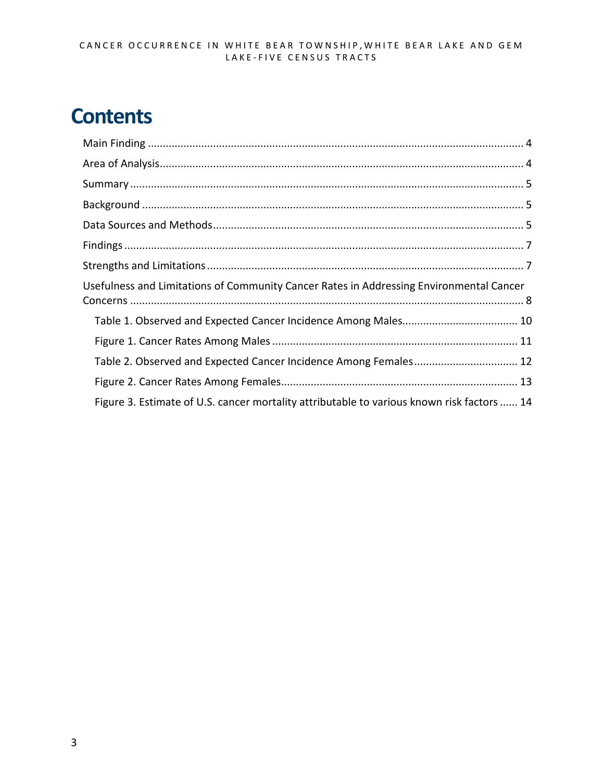# **Contents**

| Usefulness and Limitations of Community Cancer Rates in Addressing Environmental Cancer    |  |
|--------------------------------------------------------------------------------------------|--|
|                                                                                            |  |
|                                                                                            |  |
| Table 2. Observed and Expected Cancer Incidence Among Females 12                           |  |
|                                                                                            |  |
| Figure 3. Estimate of U.S. cancer mortality attributable to various known risk factors  14 |  |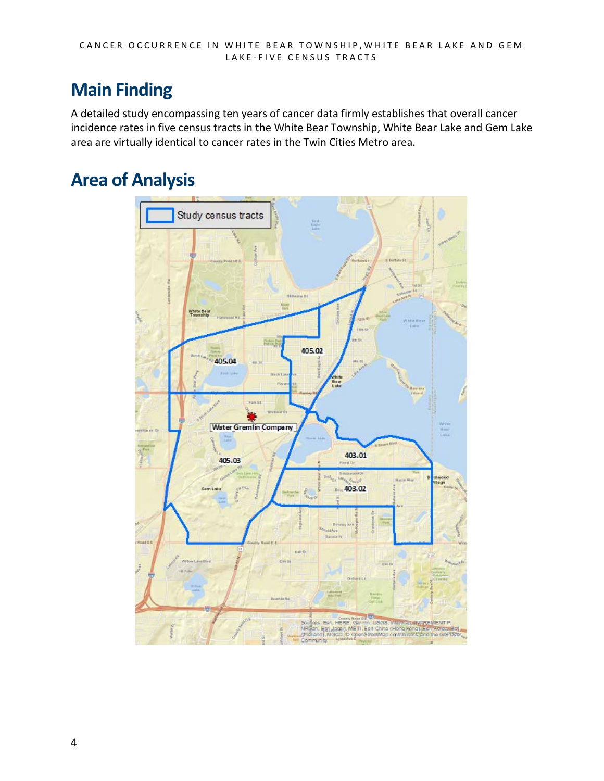# <span id="page-3-0"></span>**Main Finding**

A detailed study encompassing ten years of cancer data firmly establishes that overall cancer incidence rates in five census tracts in the White Bear Township, White Bear Lake and Gem Lake area are virtually identical to cancer rates in the Twin Cities Metro area.

# <span id="page-3-1"></span>**Area of Analysis**

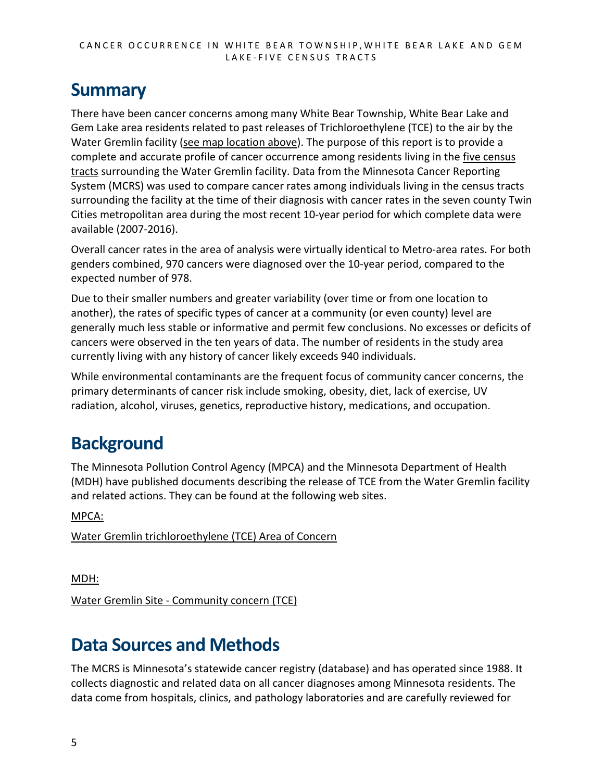### <span id="page-4-0"></span>**Summary**

There have been cancer concerns among many White Bear Township, White Bear Lake and Gem Lake area residents related to past releases of Trichloroethylene (TCE) to the air by the Water Gremlin facility [\(see map location above\)](#page-3-1). The purpose of this report is to provide a complete and accurate profile of cancer occurrence among residents living in the five census [tracts](#page-3-1) surrounding the Water Gremlin facility. Data from the Minnesota Cancer Reporting System (MCRS) was used to compare cancer rates among individuals living in the census tracts surrounding the facility at the time of their diagnosis with cancer rates in the seven county Twin Cities metropolitan area during the most recent 10-year period for which complete data were available (2007-2016).

Overall cancer rates in the area of analysis were virtually identical to Metro-area rates. For both genders combined, 970 cancers were diagnosed over the 10-year period, compared to the expected number of 978.

Due to their smaller numbers and greater variability (over time or from one location to another), the rates of specific types of cancer at a community (or even county) level are generally much less stable or informative and permit few conclusions. No excesses or deficits of cancers were observed in the ten years of data. The number of residents in the study area currently living with any history of cancer likely exceeds 940 individuals.

While environmental contaminants are the frequent focus of community cancer concerns, the primary determinants of cancer risk include smoking, obesity, diet, lack of exercise, UV radiation, alcohol, viruses, genetics, reproductive history, medications, and occupation.

# <span id="page-4-1"></span>**Background**

The Minnesota Pollution Control Agency (MPCA) and the Minnesota Department of Health (MDH) have published documents describing the release of TCE from the Water Gremlin facility and related actions. They can be found at the following web sites.

MPCA:

[Water Gremlin trichloroethylene \(TCE\) Area of Concern](https://www.pca.state.mn.us/air/water-gremlin-trichloroethylene-tce-area-concern)

MDH:

Water Gremlin [Site - Community concern \(TCE\)](https://www.health.state.mn.us/communities/environment/hazardous/sites/watergremlininc.html)

# <span id="page-4-2"></span>**Data Sources and Methods**

The MCRS is Minnesota's statewide cancer registry (database) and has operated since 1988. It collects diagnostic and related data on all cancer diagnoses among Minnesota residents. The data come from hospitals, clinics, and pathology laboratories and are carefully reviewed for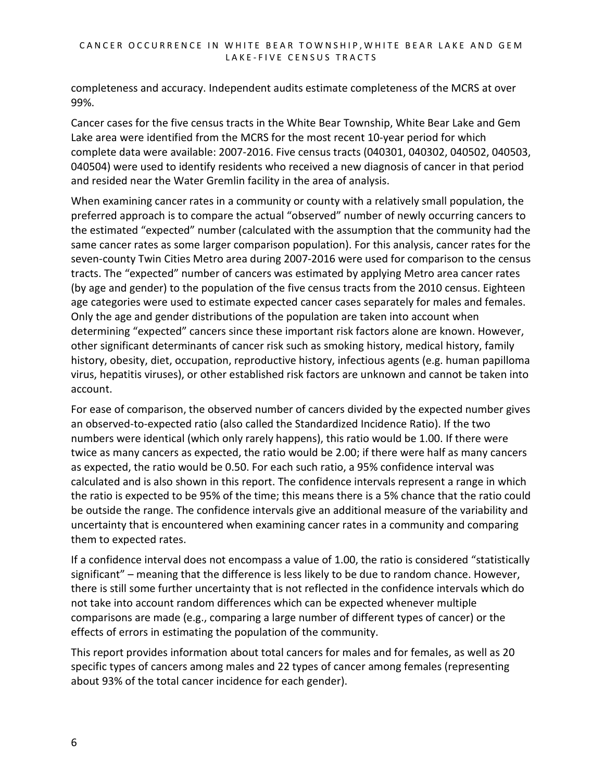completeness and accuracy. Independent audits estimate completeness of the MCRS at over 99%.

Cancer cases for the five census tracts in the White Bear Township, White Bear Lake and Gem Lake area were identified from the MCRS for the most recent 10-year period for which complete data were available: 2007-2016. Five census tracts (040301, 040302, 040502, 040503, 040504) were used to identify residents who received a new diagnosis of cancer in that period and resided near the Water Gremlin facility in the area of analysis.

When examining cancer rates in a community or county with a relatively small population, the preferred approach is to compare the actual "observed" number of newly occurring cancers to the estimated "expected" number (calculated with the assumption that the community had the same cancer rates as some larger comparison population). For this analysis, cancer rates for the seven-county Twin Cities Metro area during 2007-2016 were used for comparison to the census tracts. The "expected" number of cancers was estimated by applying Metro area cancer rates (by age and gender) to the population of the five census tracts from the 2010 census. Eighteen age categories were used to estimate expected cancer cases separately for males and females. Only the age and gender distributions of the population are taken into account when determining "expected" cancers since these important risk factors alone are known. However, other significant determinants of cancer risk such as smoking history, medical history, family history, obesity, diet, occupation, reproductive history, infectious agents (e.g. human papilloma virus, hepatitis viruses), or other established risk factors are unknown and cannot be taken into account.

For ease of comparison, the observed number of cancers divided by the expected number gives an observed-to-expected ratio (also called the Standardized Incidence Ratio). If the two numbers were identical (which only rarely happens), this ratio would be 1.00. If there were twice as many cancers as expected, the ratio would be 2.00; if there were half as many cancers as expected, the ratio would be 0.50. For each such ratio, a 95% confidence interval was calculated and is also shown in this report. The confidence intervals represent a range in which the ratio is expected to be 95% of the time; this means there is a 5% chance that the ratio could be outside the range. The confidence intervals give an additional measure of the variability and uncertainty that is encountered when examining cancer rates in a community and comparing them to expected rates.

If a confidence interval does not encompass a value of 1.00, the ratio is considered "statistically significant" – meaning that the difference is less likely to be due to random chance. However, there is still some further uncertainty that is not reflected in the confidence intervals which do not take into account random differences which can be expected whenever multiple comparisons are made (e.g., comparing a large number of different types of cancer) or the effects of errors in estimating the population of the community.

This report provides information about total cancers for males and for females, as well as 20 specific types of cancers among males and 22 types of cancer among females (representing about 93% of the total cancer incidence for each gender).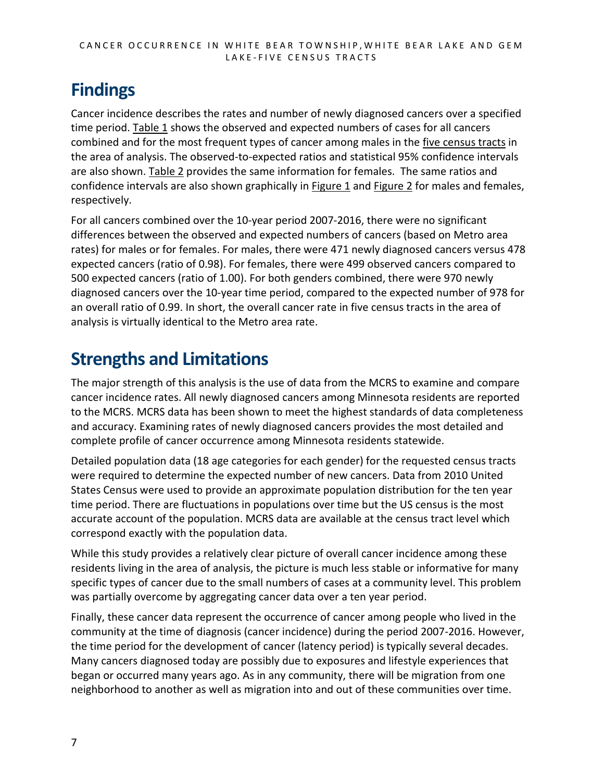# <span id="page-6-0"></span>**Findings**

Cancer incidence describes the rates and number of newly diagnosed cancers over a specified time period[. Table 1](#page-9-0) shows the observed and expected numbers of cases for all cancers combined and for the most frequent types of cancer among males in the [five census tracts](#page-3-1) in the area of analysis. The observed-to-expected ratios and statistical 95% confidence intervals are also shown. [Table 2](#page-10-1) provides the same information for females. The same ratios and confidence intervals are also shown graphically in [Figure 1](#page-10-0) and [Figure 2](#page-11-1) for males and females, respectively.

For all cancers combined over the 10-year period 2007-2016, there were no significant differences between the observed and expected numbers of cancers (based on Metro area rates) for males or for females. For males, there were 471 newly diagnosed cancers versus 478 expected cancers (ratio of 0.98). For females, there were 499 observed cancers compared to 500 expected cancers (ratio of 1.00). For both genders combined, there were 970 newly diagnosed cancers over the 10-year time period, compared to the expected number of 978 for an overall ratio of 0.99. In short, the overall cancer rate in five census tracts in the area of analysis is virtually identical to the Metro area rate.

# <span id="page-6-1"></span>**Strengths and Limitations**

The major strength of this analysis is the use of data from the MCRS to examine and compare cancer incidence rates. All newly diagnosed cancers among Minnesota residents are reported to the MCRS. MCRS data has been shown to meet the highest standards of data completeness and accuracy. Examining rates of newly diagnosed cancers provides the most detailed and complete profile of cancer occurrence among Minnesota residents statewide.

Detailed population data (18 age categories for each gender) for the requested census tracts were required to determine the expected number of new cancers. Data from 2010 United States Census were used to provide an approximate population distribution for the ten year time period. There are fluctuations in populations over time but the US census is the most accurate account of the population. MCRS data are available at the census tract level which correspond exactly with the population data.

While this study provides a relatively clear picture of overall cancer incidence among these residents living in the area of analysis, the picture is much less stable or informative for many specific types of cancer due to the small numbers of cases at a community level. This problem was partially overcome by aggregating cancer data over a ten year period.

Finally, these cancer data represent the occurrence of cancer among people who lived in the community at the time of diagnosis (cancer incidence) during the period 2007-2016. However, the time period for the development of cancer (latency period) is typically several decades. Many cancers diagnosed today are possibly due to exposures and lifestyle experiences that began or occurred many years ago. As in any community, there will be migration from one neighborhood to another as well as migration into and out of these communities over time.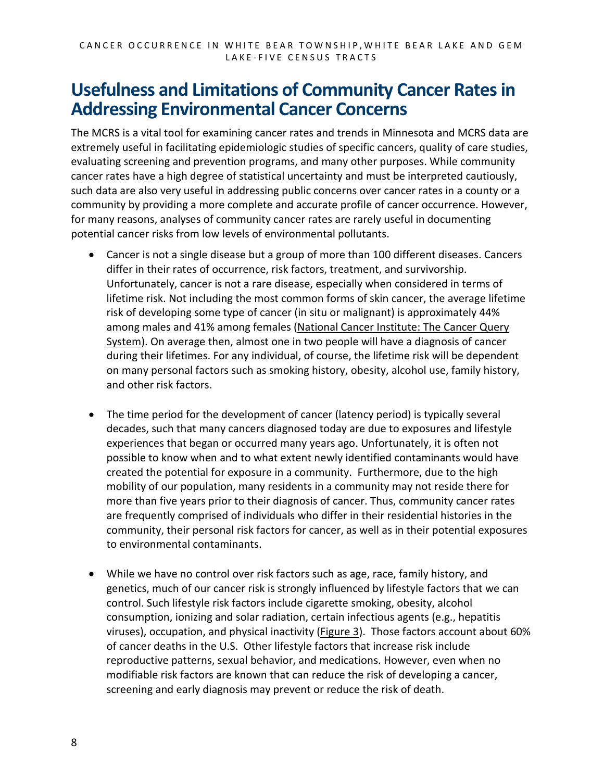### <span id="page-7-0"></span>**Usefulness and Limitations of Community Cancer Rates in Addressing Environmental Cancer Concerns**

The MCRS is a vital tool for examining cancer rates and trends in Minnesota and MCRS data are extremely useful in facilitating epidemiologic studies of specific cancers, quality of care studies, evaluating screening and prevention programs, and many other purposes. While community cancer rates have a high degree of statistical uncertainty and must be interpreted cautiously, such data are also very useful in addressing public concerns over cancer rates in a county or a community by providing a more complete and accurate profile of cancer occurrence. However, for many reasons, analyses of community cancer rates are rarely useful in documenting potential cancer risks from low levels of environmental pollutants.

- Cancer is not a single disease but a group of more than 100 different diseases. Cancers differ in their rates of occurrence, risk factors, treatment, and survivorship. Unfortunately, cancer is not a rare disease, especially when considered in terms of lifetime risk. Not including the most common forms of skin cancer, the average lifetime risk of developing some type of cancer (in situ or malignant) is approximately 44% among males and 41% among females [\(National Cancer Institute: The Cancer Query](https://surveillance.cancer.gov/devcan/canques.html)  [System\)](https://surveillance.cancer.gov/devcan/canques.html). On average then, almost one in two people will have a diagnosis of cancer during their lifetimes. For any individual, of course, the lifetime risk will be dependent on many personal factors such as smoking history, obesity, alcohol use, family history, and other risk factors.
- The time period for the development of cancer (latency period) is typically several decades, such that many cancers diagnosed today are due to exposures and lifestyle experiences that began or occurred many years ago. Unfortunately, it is often not possible to know when and to what extent newly identified contaminants would have created the potential for exposure in a community. Furthermore, due to the high mobility of our population, many residents in a community may not reside there for more than five years prior to their diagnosis of cancer. Thus, community cancer rates are frequently comprised of individuals who differ in their residential histories in the community, their personal risk factors for cancer, as well as in their potential exposures to environmental contaminants.
- While we have no control over risk factors such as age, race, family history, and genetics, much of our cancer risk is strongly influenced by lifestyle factors that we can control. Such lifestyle risk factors include cigarette smoking, obesity, alcohol consumption, ionizing and solar radiation, certain infectious agents (e.g., hepatitis viruses), occupation, and physical inactivity [\(Figure 3\)](#page-12-1). Those factors account about 60% of cancer deaths in the U.S. Other lifestyle factors that increase risk include reproductive patterns, sexual behavior, and medications. However, even when no modifiable risk factors are known that can reduce the risk of developing a cancer, screening and early diagnosis may prevent or reduce the risk of death.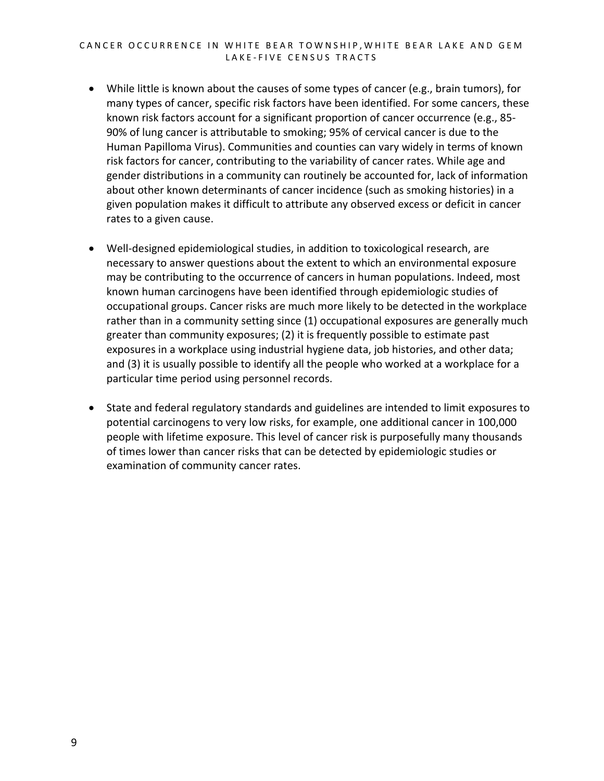#### CANCER OCCURRENCE IN WHITE BEAR TOWNSHIP, WHITE BEAR LAKE AND GEM LAKE-FIVE CENSUS TRACTS

- While little is known about the causes of some types of cancer (e.g., brain tumors), for many types of cancer, specific risk factors have been identified. For some cancers, these known risk factors account for a significant proportion of cancer occurrence (e.g., 85- 90% of lung cancer is attributable to smoking; 95% of cervical cancer is due to the Human Papilloma Virus). Communities and counties can vary widely in terms of known risk factors for cancer, contributing to the variability of cancer rates. While age and gender distributions in a community can routinely be accounted for, lack of information about other known determinants of cancer incidence (such as smoking histories) in a given population makes it difficult to attribute any observed excess or deficit in cancer rates to a given cause.
- Well-designed epidemiological studies, in addition to toxicological research, are necessary to answer questions about the extent to which an environmental exposure may be contributing to the occurrence of cancers in human populations. Indeed, most known human carcinogens have been identified through epidemiologic studies of occupational groups. Cancer risks are much more likely to be detected in the workplace rather than in a community setting since (1) occupational exposures are generally much greater than community exposures; (2) it is frequently possible to estimate past exposures in a workplace using industrial hygiene data, job histories, and other data; and (3) it is usually possible to identify all the people who worked at a workplace for a particular time period using personnel records.
- State and federal regulatory standards and guidelines are intended to limit exposures to potential carcinogens to very low risks, for example, one additional cancer in 100,000 people with lifetime exposure. This level of cancer risk is purposefully many thousands of times lower than cancer risks that can be detected by epidemiologic studies or examination of community cancer rates.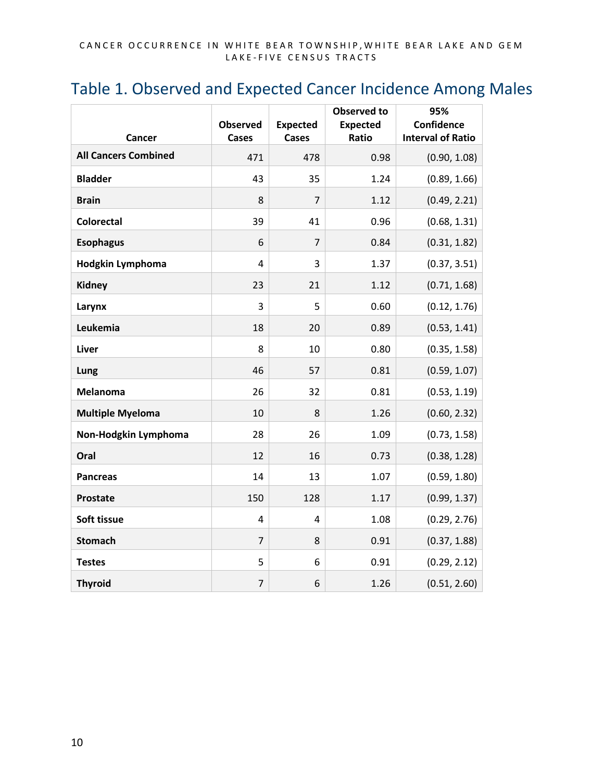#### <span id="page-9-0"></span>Table 1. Observed and Expected Cancer Incidence Among Males

|                             |                          |                                 | <b>Observed to</b>       | 95%                                    |
|-----------------------------|--------------------------|---------------------------------|--------------------------|----------------------------------------|
| Cancer                      | <b>Observed</b><br>Cases | <b>Expected</b><br><b>Cases</b> | <b>Expected</b><br>Ratio | Confidence<br><b>Interval of Ratio</b> |
| <b>All Cancers Combined</b> | 471                      | 478                             | 0.98                     | (0.90, 1.08)                           |
| <b>Bladder</b>              | 43                       | 35                              | 1.24                     | (0.89, 1.66)                           |
| <b>Brain</b>                | 8                        | $\overline{7}$                  | 1.12                     | (0.49, 2.21)                           |
| <b>Colorectal</b>           | 39                       | 41                              | 0.96                     | (0.68, 1.31)                           |
| <b>Esophagus</b>            | 6                        | $\overline{7}$                  | 0.84                     | (0.31, 1.82)                           |
| Hodgkin Lymphoma            | 4                        | 3                               | 1.37                     | (0.37, 3.51)                           |
| <b>Kidney</b>               | 23                       | 21                              | 1.12                     | (0.71, 1.68)                           |
| Larynx                      | 3                        | 5                               | 0.60                     | (0.12, 1.76)                           |
| Leukemia                    | 18                       | 20                              | 0.89                     | (0.53, 1.41)                           |
| <b>Liver</b>                | 8                        | 10                              | 0.80                     | (0.35, 1.58)                           |
| Lung                        | 46                       | 57                              | 0.81                     | (0.59, 1.07)                           |
| <b>Melanoma</b>             | 26                       | 32                              | 0.81                     | (0.53, 1.19)                           |
| <b>Multiple Myeloma</b>     | 10                       | 8                               | 1.26                     | (0.60, 2.32)                           |
| Non-Hodgkin Lymphoma        | 28                       | 26                              | 1.09                     | (0.73, 1.58)                           |
| Oral                        | 12                       | 16                              | 0.73                     | (0.38, 1.28)                           |
| <b>Pancreas</b>             | 14                       | 13                              | 1.07                     | (0.59, 1.80)                           |
| <b>Prostate</b>             | 150                      | 128                             | 1.17                     | (0.99, 1.37)                           |
| Soft tissue                 | 4                        | 4                               | 1.08                     | (0.29, 2.76)                           |
| <b>Stomach</b>              | $\overline{7}$           | 8                               | 0.91                     | (0.37, 1.88)                           |
| <b>Testes</b>               | 5                        | 6                               | 0.91                     | (0.29, 2.12)                           |
| <b>Thyroid</b>              | $\overline{7}$           | 6                               | 1.26                     | (0.51, 2.60)                           |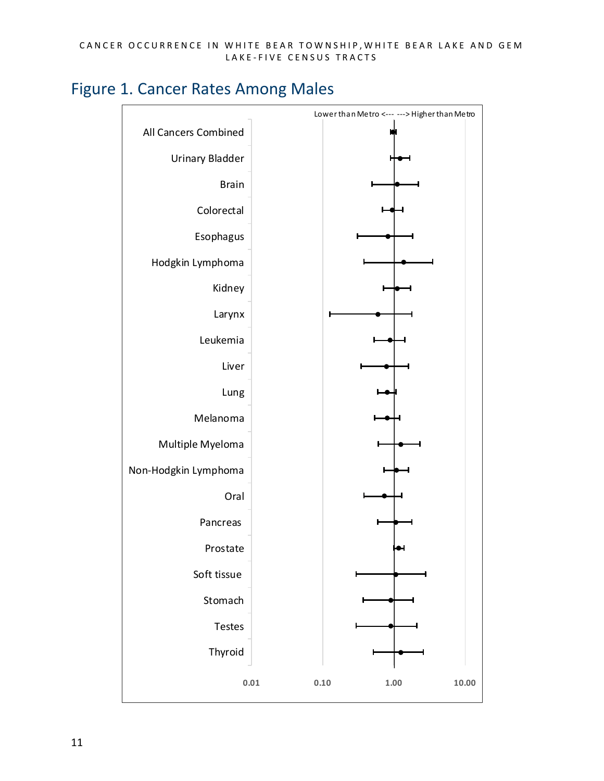<span id="page-10-0"></span>

<span id="page-10-1"></span>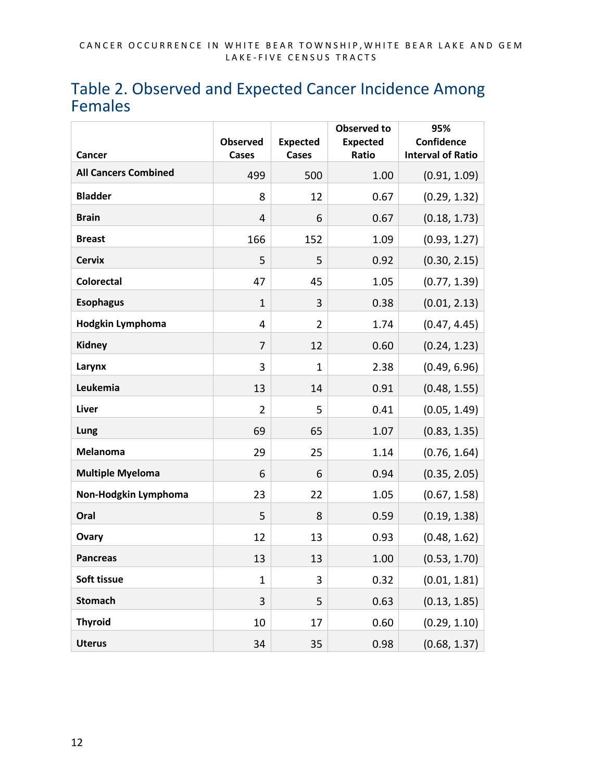#### <span id="page-11-0"></span>Table 2. Observed and Expected Cancer Incidence Among Females

<span id="page-11-1"></span>

|                             | <b>Observed</b> | <b>Expected</b> | <b>Observed to</b><br><b>Expected</b> | 95%<br>Confidence        |
|-----------------------------|-----------------|-----------------|---------------------------------------|--------------------------|
| Cancer                      | Cases           | <b>Cases</b>    | Ratio                                 | <b>Interval of Ratio</b> |
| <b>All Cancers Combined</b> | 499             | 500             | 1.00                                  | (0.91, 1.09)             |
| <b>Bladder</b>              | 8               | 12              | 0.67                                  | (0.29, 1.32)             |
| <b>Brain</b>                | 4               | 6               | 0.67                                  | (0.18, 1.73)             |
| <b>Breast</b>               | 166             | 152             | 1.09                                  | (0.93, 1.27)             |
| <b>Cervix</b>               | 5               | 5               | 0.92                                  | (0.30, 2.15)             |
| <b>Colorectal</b>           | 47              | 45              | 1.05                                  | (0.77, 1.39)             |
| <b>Esophagus</b>            | $\mathbf{1}$    | 3               | 0.38                                  | (0.01, 2.13)             |
| <b>Hodgkin Lymphoma</b>     | 4               | $\overline{2}$  | 1.74                                  | (0.47, 4.45)             |
| Kidney                      | $\overline{7}$  | 12              | 0.60                                  | (0.24, 1.23)             |
| Larynx                      | 3               | $\mathbf{1}$    | 2.38                                  | (0.49, 6.96)             |
| Leukemia                    | 13              | 14              | 0.91                                  | (0.48, 1.55)             |
| Liver                       | $\overline{2}$  | 5               | 0.41                                  | (0.05, 1.49)             |
| Lung                        | 69              | 65              | 1.07                                  | (0.83, 1.35)             |
| Melanoma                    | 29              | 25              | 1.14                                  | (0.76, 1.64)             |
| <b>Multiple Myeloma</b>     | 6               | 6               | 0.94                                  | (0.35, 2.05)             |
| Non-Hodgkin Lymphoma        | 23              | 22              | 1.05                                  | (0.67, 1.58)             |
| Oral                        | 5               | 8               | 0.59                                  | (0.19, 1.38)             |
| Ovary                       | 12              | 13              | 0.93                                  | (0.48, 1.62)             |
| <b>Pancreas</b>             | 13              | 13              | 1.00                                  | (0.53, 1.70)             |
| Soft tissue                 | $\mathbf{1}$    | 3               | 0.32                                  | (0.01, 1.81)             |
| <b>Stomach</b>              | 3               | 5               | 0.63                                  | (0.13, 1.85)             |
| <b>Thyroid</b>              | 10              | 17              | 0.60                                  | (0.29, 1.10)             |
| <b>Uterus</b>               | 34              | 35              | 0.98                                  | (0.68, 1.37)             |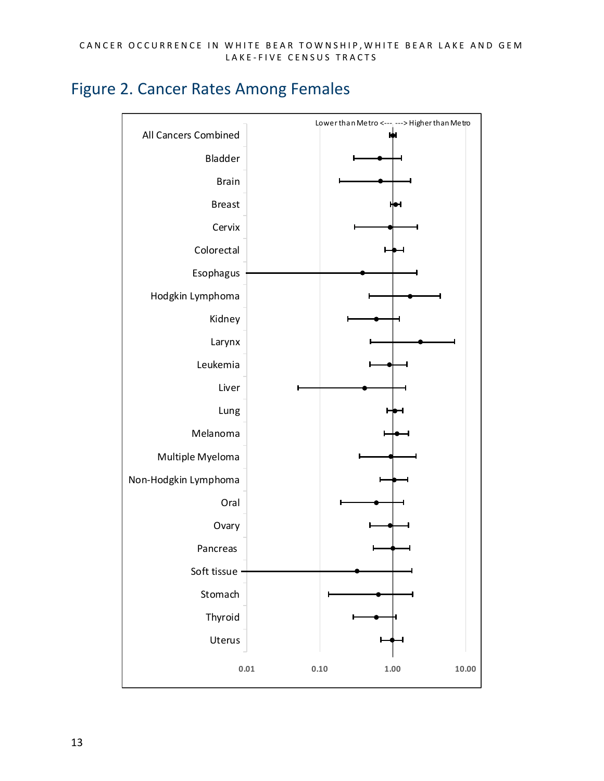#### <span id="page-12-0"></span>Figure 2. Cancer Rates Among Females

<span id="page-12-1"></span>